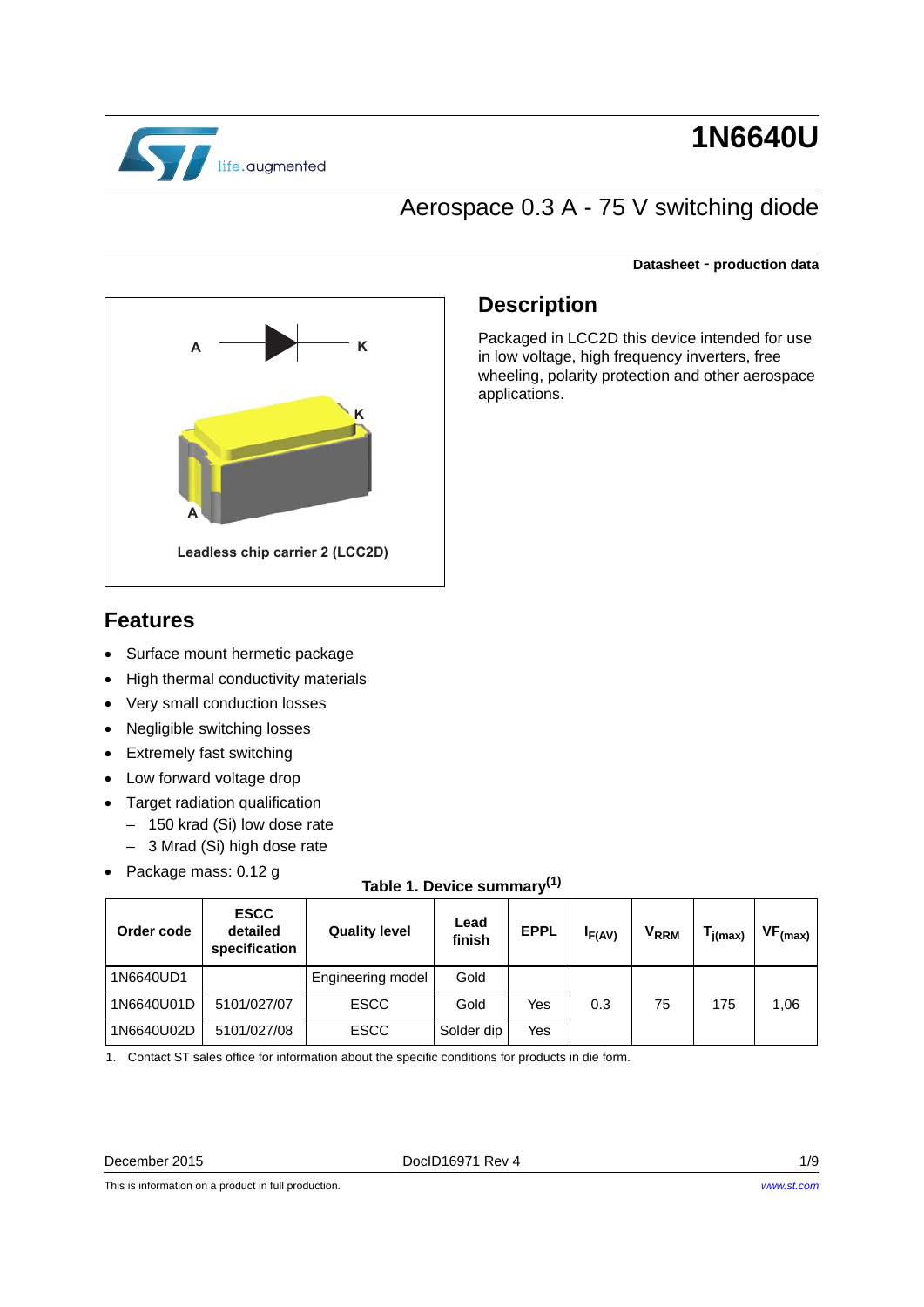

# **1N6640U**

## Aerospace 0.3 A - 75 V switching diode



#### **Datasheet** - **production data**

### **Description**

Packaged in LCC2D this device intended for use in low voltage, high frequency inverters, free wheeling, polarity protection and other aerospace applications.

### **Features**

- Surface mount hermetic package
- High thermal conductivity materials
- Very small conduction losses
- Negligible switching losses
- Extremely fast switching
- Low forward voltage drop
- Target radiation qualification
	- 150 krad (Si) low dose rate
	- 3 Mrad (Si) high dose rate
- Package mass: 0.12 g

### **Table 1. Device summary(1)**

| Order code | <b>ESCC</b><br>detailed<br>specification | <b>Quality level</b> | Lead<br>finish | <b>EPPL</b> | <sup>I</sup> F(AV) | V <sub>RRM</sub> | $T_{j(max)}$ | $VF_{(max)}$ |
|------------|------------------------------------------|----------------------|----------------|-------------|--------------------|------------------|--------------|--------------|
| 1N6640UD1  |                                          | Engineering model    | Gold           |             |                    |                  |              |              |
| 1N6640U01D | 5101/027/07                              | <b>ESCC</b>          | Gold           | Yes         | 0.3                | 75               | 175          | 1,06         |
| 1N6640U02D | 5101/027/08                              | <b>ESCC</b>          | Solder dip     | Yes         |                    |                  |              |              |

1. Contact ST sales office for information about the specific conditions for products in die form.

This is information on a product in full production.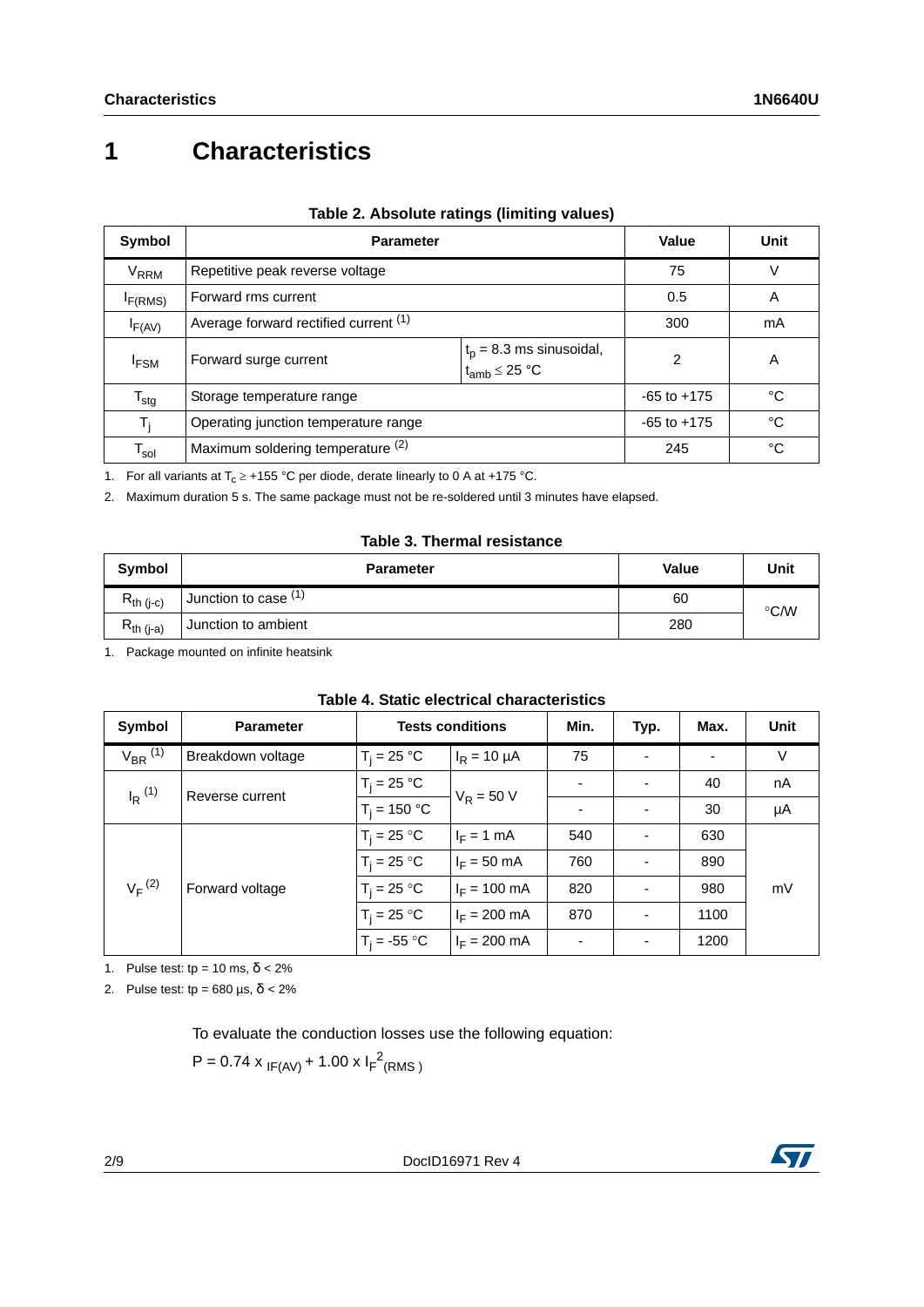## **1 Characteristics**

| Symbol                      | <b>Parameter</b>                              | Value           | Unit |    |
|-----------------------------|-----------------------------------------------|-----------------|------|----|
| V <sub>RRM</sub>            | Repetitive peak reverse voltage               |                 | 75   | V  |
| I <sub>F(RMS)</sub>         | Forward rms current                           |                 | 0.5  | A  |
| F(AV)                       | Average forward rectified current (1)         | 300             | mA   |    |
| <sup>I</sup> FSM            | Forward surge current<br>$t_{amb} \leq 25 °C$ | $\mathfrak{p}$  | A    |    |
| $T_{\text{stg}}$            | Storage temperature range                     | $-65$ to $+175$ | °C   |    |
| $T_i$                       | Operating junction temperature range          | $-65$ to $+175$ | °C   |    |
| $\mathsf{T}_{\mathsf{sol}}$ | Maximum soldering temperature (2)             |                 | 245  | °C |

#### **Table 2. Absolute ratings (limiting values)**

1. For all variants at  $T_c \ge 155$  °C per diode, derate linearly to 0 A at +175 °C.

2. Maximum duration 5 s. The same package must not be re-soldered until 3 minutes have elapsed.

#### **Table 3. Thermal resistance**

| Symbol         | <b>Parameter</b>     | Value | Unit          |
|----------------|----------------------|-------|---------------|
| $R_{th (j-c)}$ | Junction to case (1) | 60    | $\degree$ C/W |
| $R_{th (j-a)}$ | Junction to ambient  | 280   |               |

1. Package mounted on infinite heatsink

| Symbol                         | <b>Parameter</b>  | <b>Tests conditions</b> |                        | Min. | Typ.                     | Max. | <b>Unit</b> |
|--------------------------------|-------------------|-------------------------|------------------------|------|--------------------------|------|-------------|
| $V_{BR}$ (1)                   | Breakdown voltage | $T_i = 25 °C$           | $I_R = 10 \mu A$       | 75   |                          |      | V           |
| $I_R$ $(1)$<br>Reverse current |                   | $T_i = 25 °C$           | $V_R = 50 V$           |      |                          | 40   | nA          |
|                                | $T_i = 150 °C$    |                         |                        |      | 30                       | μA   |             |
| $V_F^{(2)}$                    |                   | $T_i = 25 °C$           | $I_F = 1$ mA           | 540  | $\overline{\phantom{a}}$ | 630  |             |
|                                | Forward voltage   | $T_i = 25 °C$           | $I_F = 50$ mA          | 760  | -                        | 890  |             |
|                                |                   | $T_i = 25 °C$           | $I_F = 100 \text{ mA}$ | 820  | $\overline{\phantom{a}}$ | 980  | mV          |
|                                |                   | $T_i = 25 °C$           | $I_F = 200$ mA         | 870  | $\overline{\phantom{a}}$ | 1100 |             |
|                                |                   | $T_i = -55$ °C          | $I_F = 200 \text{ mA}$ |      | $\blacksquare$           | 1200 |             |

#### **Table 4. Static electrical characteristics**

<span id="page-1-0"></span>1. Pulse test: tp = 10 ms,  $\delta$  < 2%

2. Pulse test: tp =  $680 \text{ }\mu\text{s}, \delta < 2\%$ 

To evaluate the conduction losses use the following equation:

 $P = 0.74 \times I_{F(AV)} + 1.00 \times I_{F}^{2}(RMS)$ 

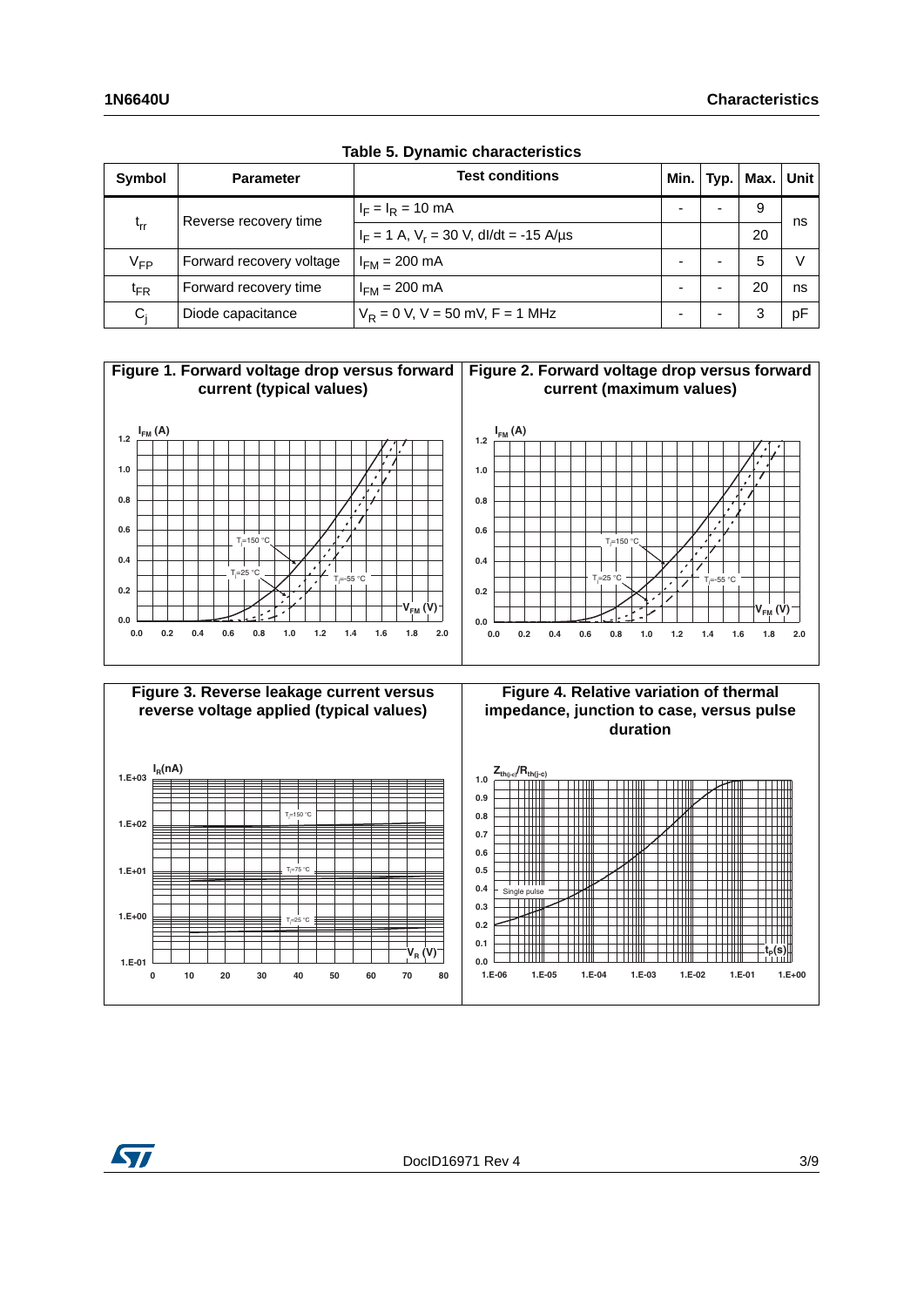| <b>Symbol</b> | <b>Parameter</b>         | <b>Test conditions</b>                      | Min. |  | Typ.   Max.   Unit |    |  |
|---------------|--------------------------|---------------------------------------------|------|--|--------------------|----|--|
| $t_{rr}$      | Reverse recovery time    | $I_F = I_R = 10 \text{ mA}$                 | -    |  | 9                  | ns |  |
|               |                          | $I_F = 1$ A, $V_r = 30$ V, dl/dt = -15 A/µs |      |  | 20                 |    |  |
| $V_{FP}$      | Forward recovery voltage | $I_{FM}$ = 200 mA                           |      |  | 5                  |    |  |
| $t_{FR}$      | Forward recovery time    | $I_{FM}$ = 200 mA                           | -    |  | 20                 | ns |  |
| $C_i$         | Diode capacitance        | $V_R = 0$ V, V = 50 mV, F = 1 MHz           | -    |  | 3                  | рF |  |

**Table 5. Dynamic characteristics**









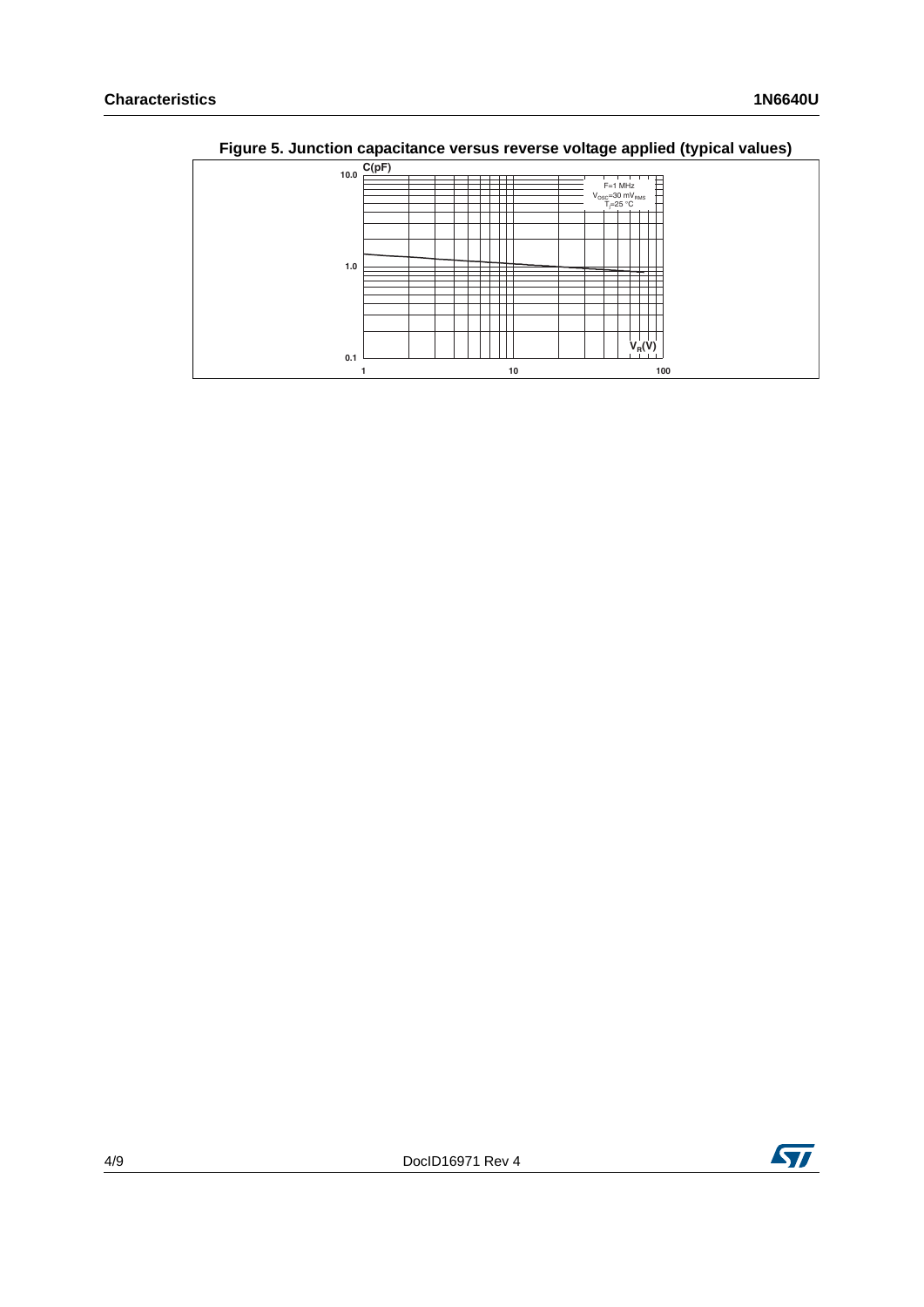| <u>. ສ. </u> | ----                                                                   |
|--------------|------------------------------------------------------------------------|
|              | C(pF)                                                                  |
| 10.0         |                                                                        |
|              | $F=1$ MHz                                                              |
|              |                                                                        |
|              | $V_{\text{osc}} = 30 \text{ mV}_{\text{RMS}}$<br>T <sub>i</sub> =25 °C |
|              |                                                                        |
|              |                                                                        |
|              |                                                                        |
|              |                                                                        |
|              |                                                                        |
|              |                                                                        |
| $1.0$        |                                                                        |
|              |                                                                        |
|              |                                                                        |
|              |                                                                        |
|              |                                                                        |
|              |                                                                        |
|              |                                                                        |
|              |                                                                        |
|              |                                                                        |
|              |                                                                        |
|              | $V_R(V)$                                                               |
| 0.1          |                                                                        |
|              | 10<br>100                                                              |
|              |                                                                        |

**Figure 5. Junction capacitance versus reverse voltage applied (typical values)**

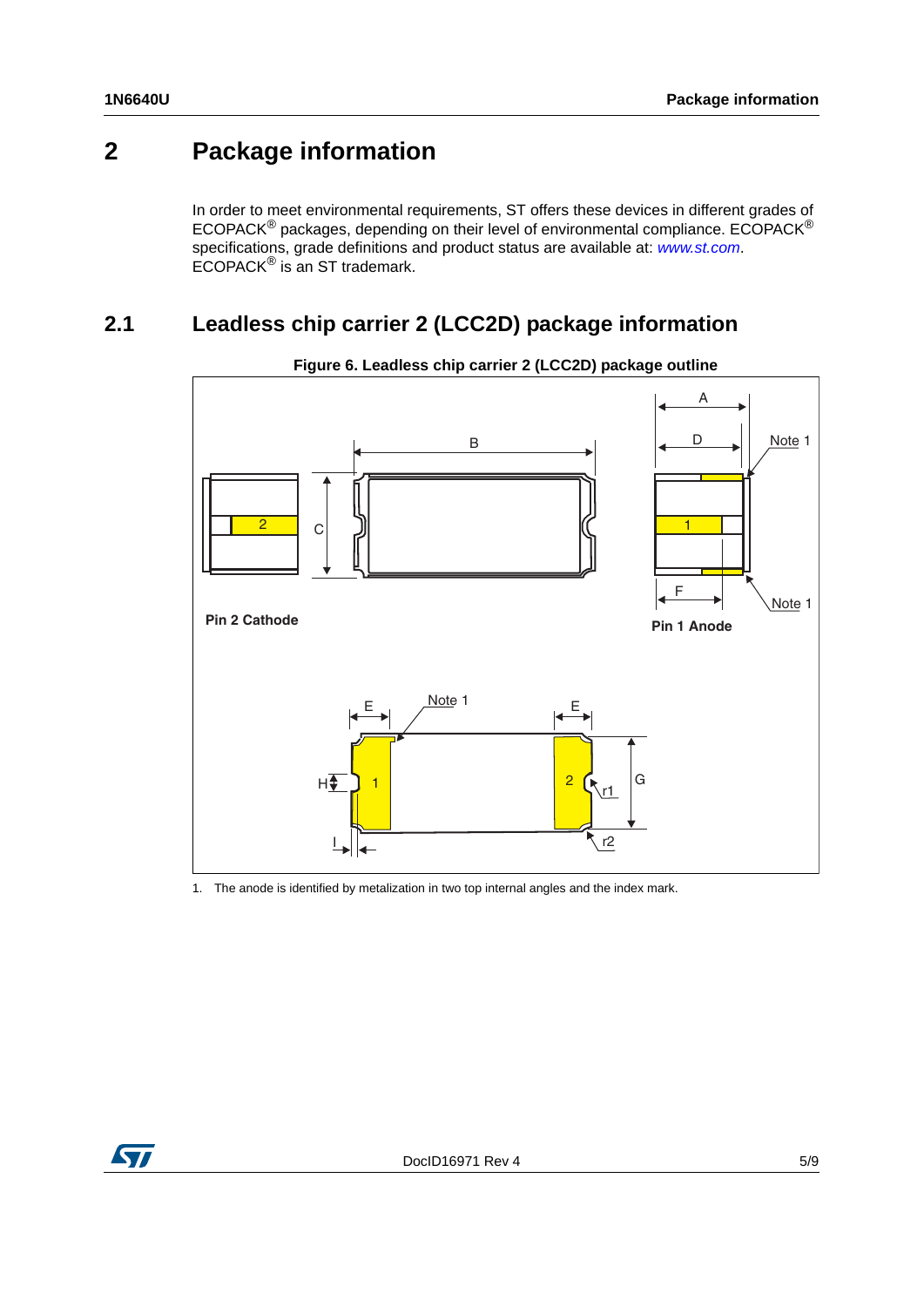## **2 Package information**

In order to meet environmental requirements, ST offers these devices in different grades of ECOPACK® packages, depending on their level of environmental compliance. ECOPACK® specifications, grade definitions and product status are available at: *[www.st.com](http://www.st.com)*. ECOPACK® is an ST trademark.

### **2.1 Leadless chip carrier 2 (LCC2D) package information**



**Figure 6. Leadless chip carrier 2 (LCC2D) package outline**

1. The anode is identified by metalization in two top internal angles and the index mark.

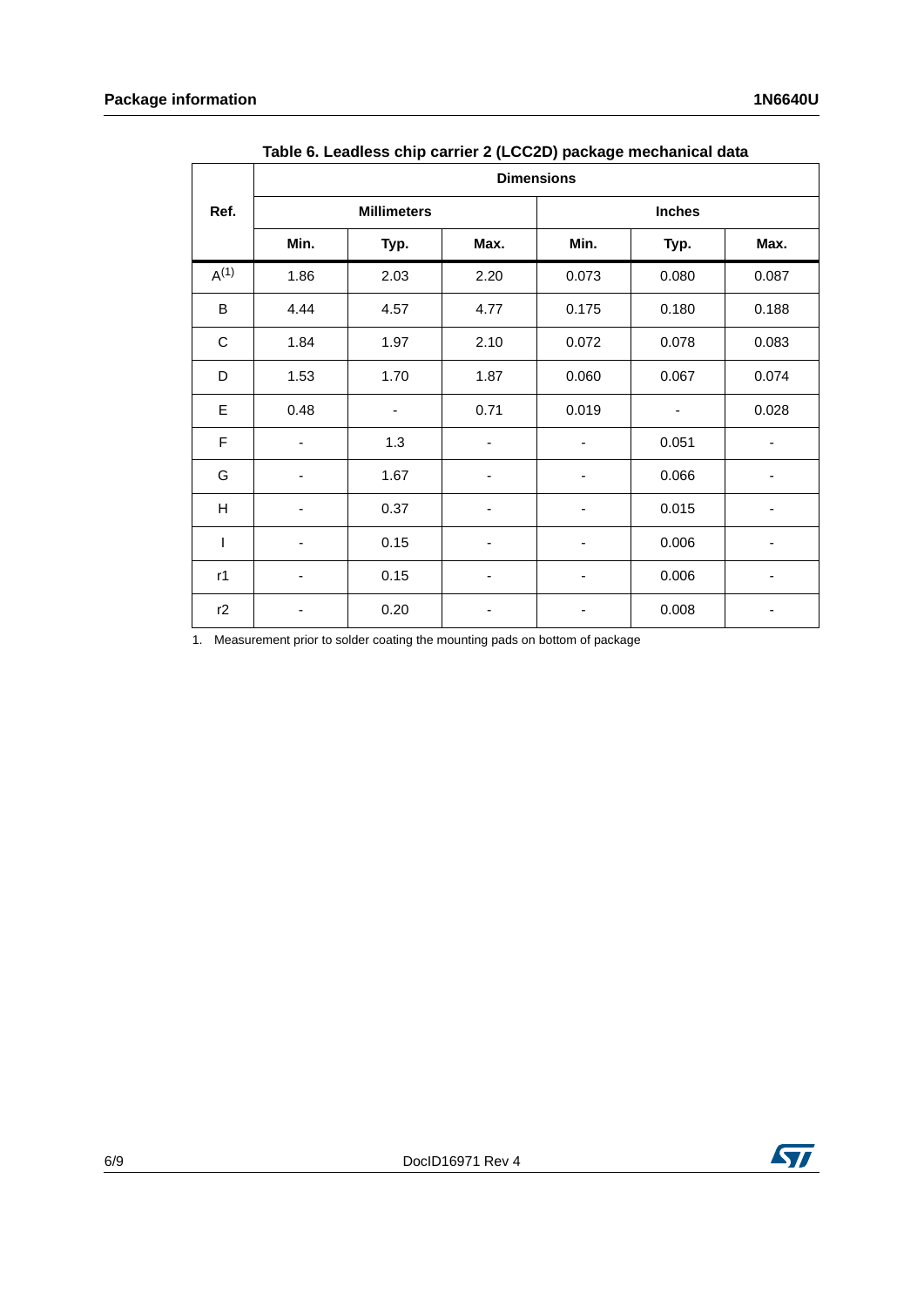|           |      |                    |      | $\mathbf{v}$ . The set of $\mathbf{v}$<br><b>Dimensions</b> |               |       |
|-----------|------|--------------------|------|-------------------------------------------------------------|---------------|-------|
| Ref.      |      | <b>Millimeters</b> |      |                                                             | <b>Inches</b> |       |
|           | Min. | Typ.               | Max. | Min.                                                        | Typ.          | Max.  |
| $A^{(1)}$ | 1.86 | 2.03               | 2.20 | 0.073                                                       | 0.080         | 0.087 |
| B         | 4.44 | 4.57               | 4.77 | 0.175                                                       | 0.180         | 0.188 |
| С         | 1.84 | 1.97               | 2.10 | 0.072                                                       | 0.078         | 0.083 |
| D         | 1.53 | 1.70               | 1.87 | 0.060                                                       | 0.067         | 0.074 |
| E         | 0.48 | ٠                  | 0.71 | 0.019                                                       |               | 0.028 |
| F         |      | 1.3                |      |                                                             | 0.051         |       |
| G         | ۰    | 1.67               | ۰    | ۰                                                           | 0.066         | ۰     |
| Н         |      | 0.37               |      |                                                             | 0.015         |       |
| T         |      | 0.15               |      |                                                             | 0.006         |       |
| r1        |      | 0.15               | ۰    |                                                             | 0.006         |       |
| r2        |      | 0.20               | ۰    |                                                             | 0.008         |       |

**Table 6. Leadless chip carrier 2 (LCC2D) package mechanical data**

1. Measurement prior to solder coating the mounting pads on bottom of package

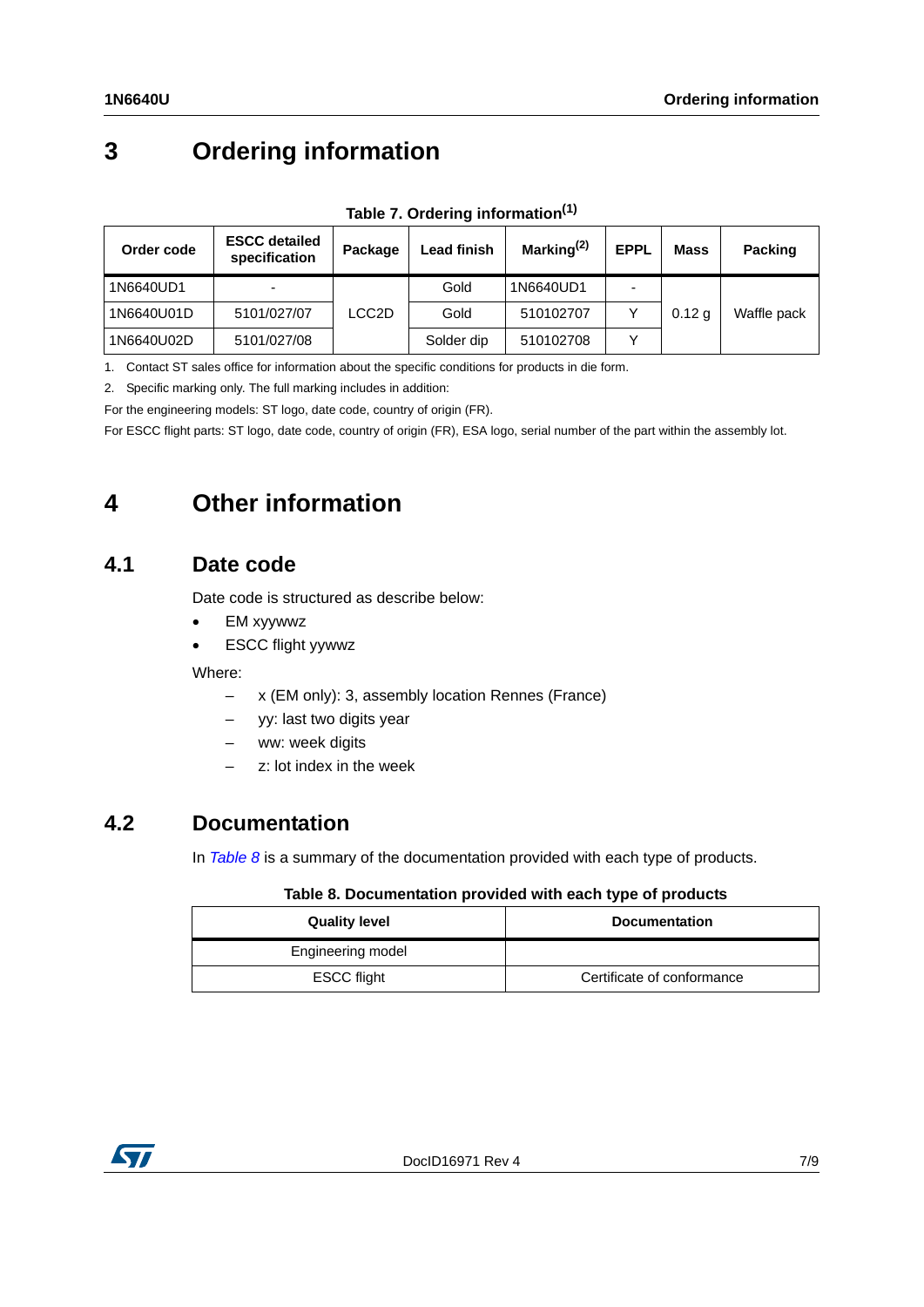## **3 Ordering information**

<span id="page-6-1"></span>

| Order code | <b>ESCC detailed</b><br>specification | Package | <b>Lead finish</b> | Marking $(2)$ | <b>EPPL</b> | <b>Mass</b>       | <b>Packing</b> |
|------------|---------------------------------------|---------|--------------------|---------------|-------------|-------------------|----------------|
| 1N6640UD1  |                                       |         | Gold               | 1N6640UD1     |             |                   |                |
| 1N6640U01D | 5101/027/07                           | LCC2D   | Gold               | 510102707     |             | 0.12 <sub>q</sub> | Waffle pack    |
| 1N6640U02D | 5101/027/08                           |         | Solder dip         | 510102708     |             |                   |                |

**Table 7. Ordering information(1)**

1. Contact ST sales office for information about the specific conditions for products in die form.

2. Specific marking only. The full marking includes in addition:

For the engineering models: ST logo, date code, country of origin (FR).

For ESCC flight parts: ST logo, date code, country of origin (FR), ESA logo, serial number of the part within the assembly lot.

### **4 Other information**

### **4.1 Date code**

Date code is structured as describe below:

- EM xyywwz
- ESCC flight yywwz

Where:

- x (EM only): 3, assembly location Rennes (France)
- yy: last two digits year
- ww: week digits
- z: lot index in the week

### **4.2 Documentation**

In *[Table 8](#page-6-0)* is a summary of the documentation provided with each type of products.

#### **Table 8. Documentation provided with each type of products**

<span id="page-6-0"></span>

| <b>Quality level</b> | <b>Documentation</b>       |
|----------------------|----------------------------|
| Engineering model    |                            |
| <b>ESCC flight</b>   | Certificate of conformance |

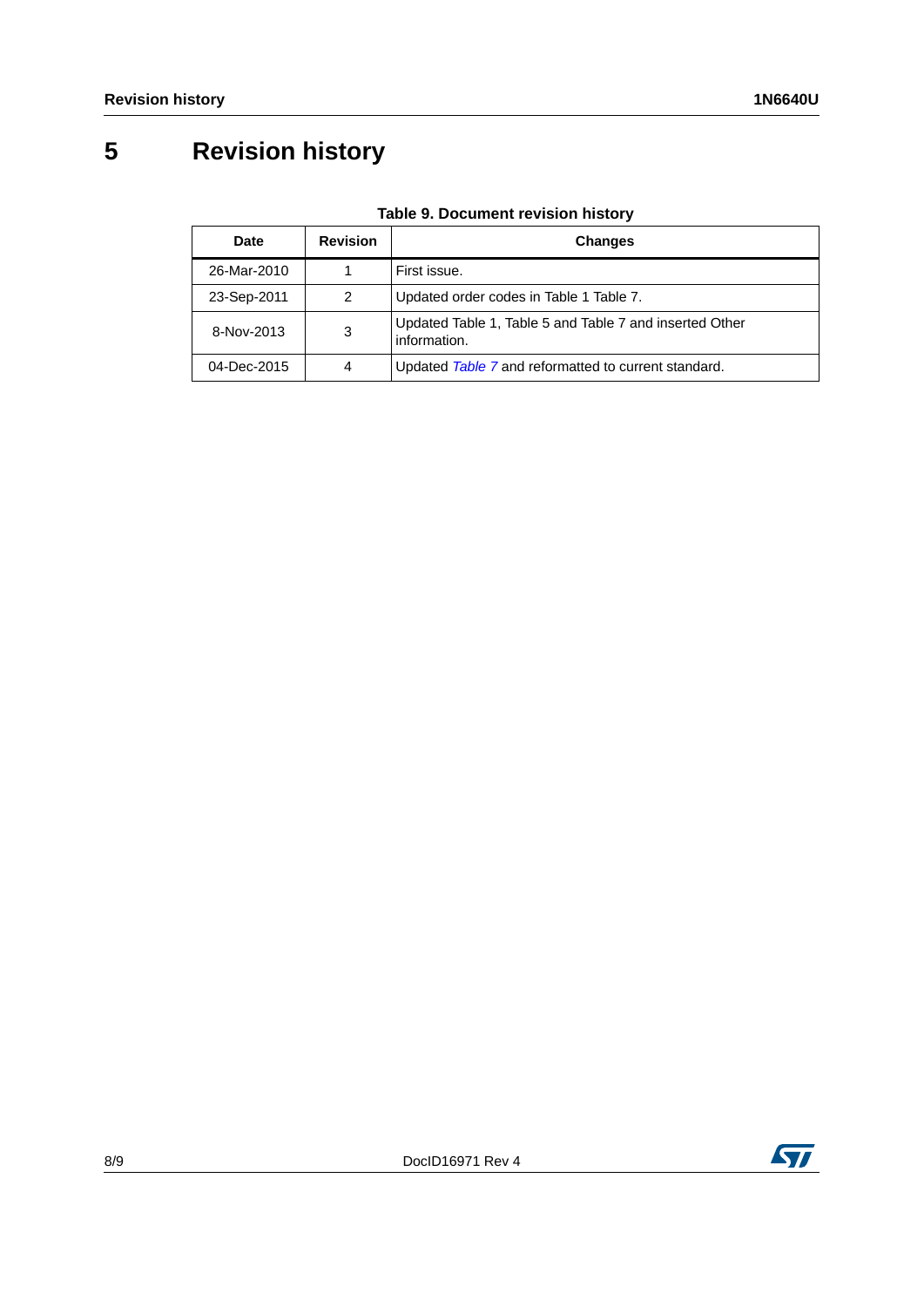## **5 Revision history**

| Date        | <b>Revision</b> | <b>Changes</b>                                                          |
|-------------|-----------------|-------------------------------------------------------------------------|
| 26-Mar-2010 |                 | First issue.                                                            |
| 23-Sep-2011 | 2               | Updated order codes in Table 1 Table 7.                                 |
| 8-Nov-2013  | 3               | Updated Table 1, Table 5 and Table 7 and inserted Other<br>information. |
| 04-Dec-2015 | 4               | Updated Table 7 and reformatted to current standard.                    |

**Table 9. Document revision history**